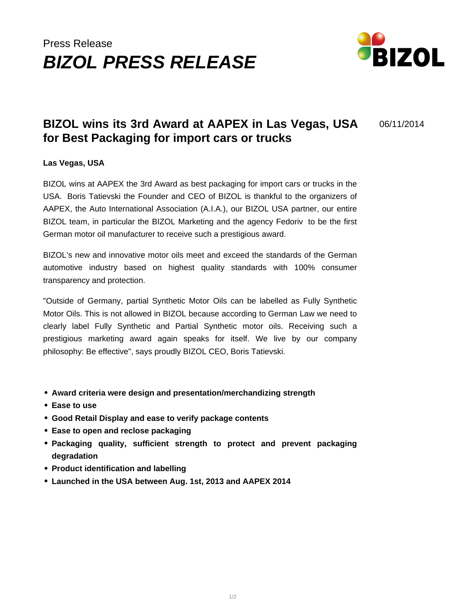# Press Release **BIZOL PRESS RELEASE**



# **BIZOL wins its 3rd Award at AAPEX in Las Vegas, USA for Best Packaging for import cars or trucks**

06/11/2014

#### **Las Vegas, USA**

BIZOL wins at AAPEX the 3rd Award as best packaging for import cars or trucks in the USA. Boris Tatievski the Founder and CEO of BIZOL is thankful to the organizers of AAPEX, the Auto International Association (A.I.A.), our BIZOL USA partner, our entire BIZOL team, in particular the BIZOL Marketing and the agency Fedoriv to be the first German motor oil manufacturer to receive such a prestigious award.

BIZOL's new and innovative motor oils meet and exceed the standards of the German automotive industry based on highest quality standards with 100% consumer transparency and protection.

"Outside of Germany, partial Synthetic Motor Oils can be labelled as Fully Synthetic Motor Oils. This is not allowed in BIZOL because according to German Law we need to clearly label Fully Synthetic and Partial Synthetic motor oils. Receiving such a prestigious marketing award again speaks for itself. We live by our company philosophy: Be effective", says proudly BIZOL CEO, Boris Tatievski.

- **Award criteria were design and presentation/merchandizing strength**
- **Ease to use**
- **Good Retail Display and ease to verify package contents**
- **Ease to open and reclose packaging**
- **Packaging quality, sufficient strength to protect and prevent packaging degradation**
- **Product identification and labelling**
- **Launched in the USA between Aug. 1st, 2013 and AAPEX 2014**